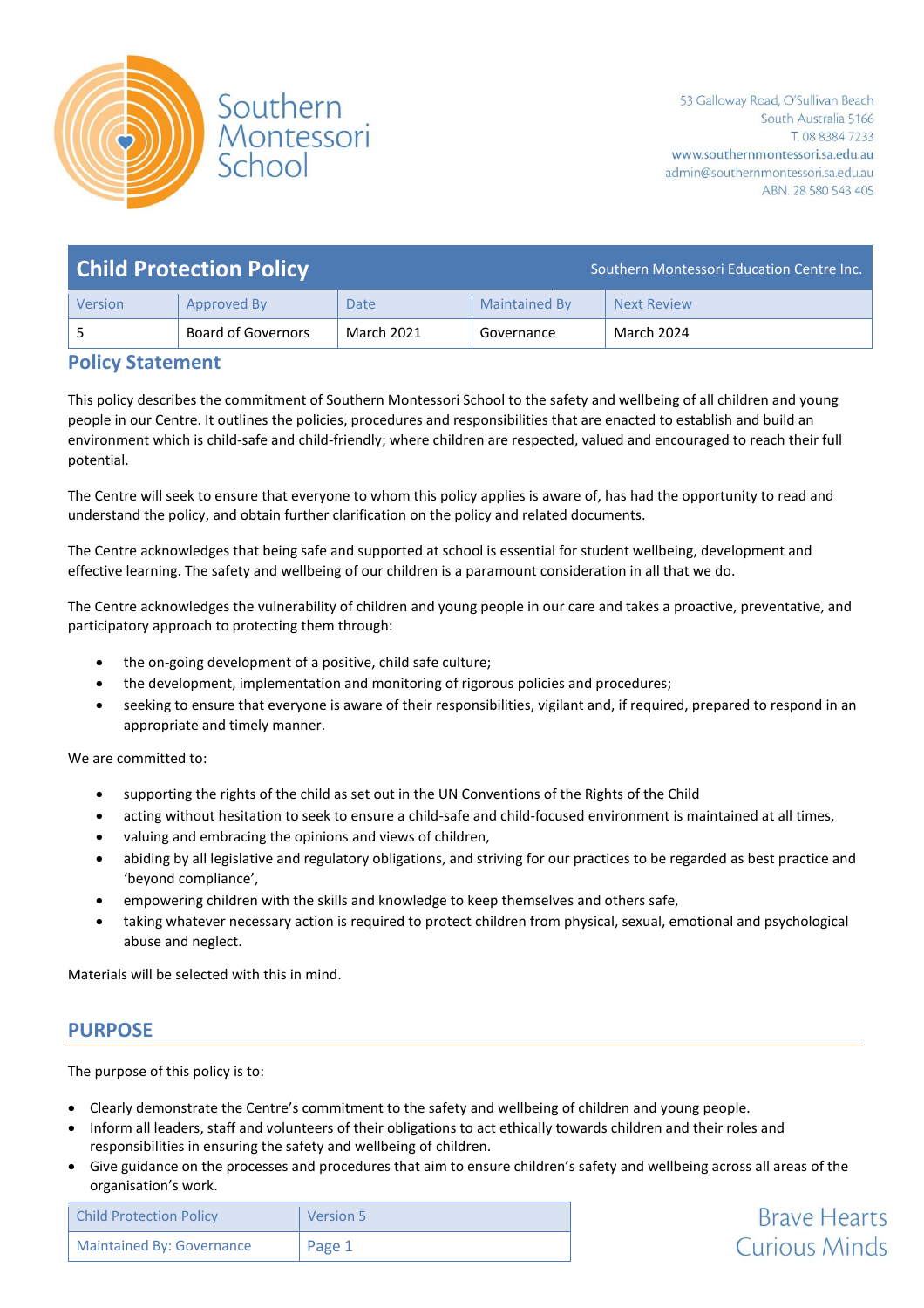

**Brave Hearts** 

**Curious Minds** 

| <b>Child Protection Policy</b> |                           |            | Southern Montessori Education Centre Inc. |                    |
|--------------------------------|---------------------------|------------|-------------------------------------------|--------------------|
| Version                        | Approved By               | Date       | <b>Maintained By</b>                      | <b>Next Review</b> |
|                                | <b>Board of Governors</b> | March 2021 | Governance                                | March 2024         |

#### **Policy Statement**

This policy describes the commitment of Southern Montessori School to the safety and wellbeing of all children and young people in our Centre. It outlines the policies, procedures and responsibilities that are enacted to establish and build an environment which is child-safe and child-friendly; where children are respected, valued and encouraged to reach their full potential.

The Centre will seek to ensure that everyone to whom this policy applies is aware of, has had the opportunity to read and understand the policy, and obtain further clarification on the policy and related documents.

The Centre acknowledges that being safe and supported at school is essential for student wellbeing, development and effective learning. The safety and wellbeing of our children is a paramount consideration in all that we do.

The Centre acknowledges the vulnerability of children and young people in our care and takes a proactive, preventative, and participatory approach to protecting them through:

- the on-going development of a positive, child safe culture;
- the development, implementation and monitoring of rigorous policies and procedures;
- seeking to ensure that everyone is aware of their responsibilities, vigilant and, if required, prepared to respond in an appropriate and timely manner.

We are committed to:

- supporting the rights of the child as set out in the UN Conventions of the Rights of the Child
- acting without hesitation to seek to ensure a child-safe and child-focused environment is maintained at all times,
- valuing and embracing the opinions and views of children,
- abiding by all legislative and regulatory obligations, and striving for our practices to be regarded as best practice and 'beyond compliance',
- empowering children with the skills and knowledge to keep themselves and others safe,
- taking whatever necessary action is required to protect children from physical, sexual, emotional and psychological abuse and neglect.

Materials will be selected with this in mind.

## **PURPOSE**

The purpose of this policy is to:

- Clearly demonstrate the Centre's commitment to the safety and wellbeing of children and young people.
- Inform all leaders, staff and volunteers of their obligations to act ethically towards children and their roles and responsibilities in ensuring the safety and wellbeing of children.
- Give guidance on the processes and procedures that aim to ensure children's safety and wellbeing across all areas of the organisation's work.

| <b>Child Protection Policy</b> | Version 5 |
|--------------------------------|-----------|
| Maintained By: Governance      | Page 1    |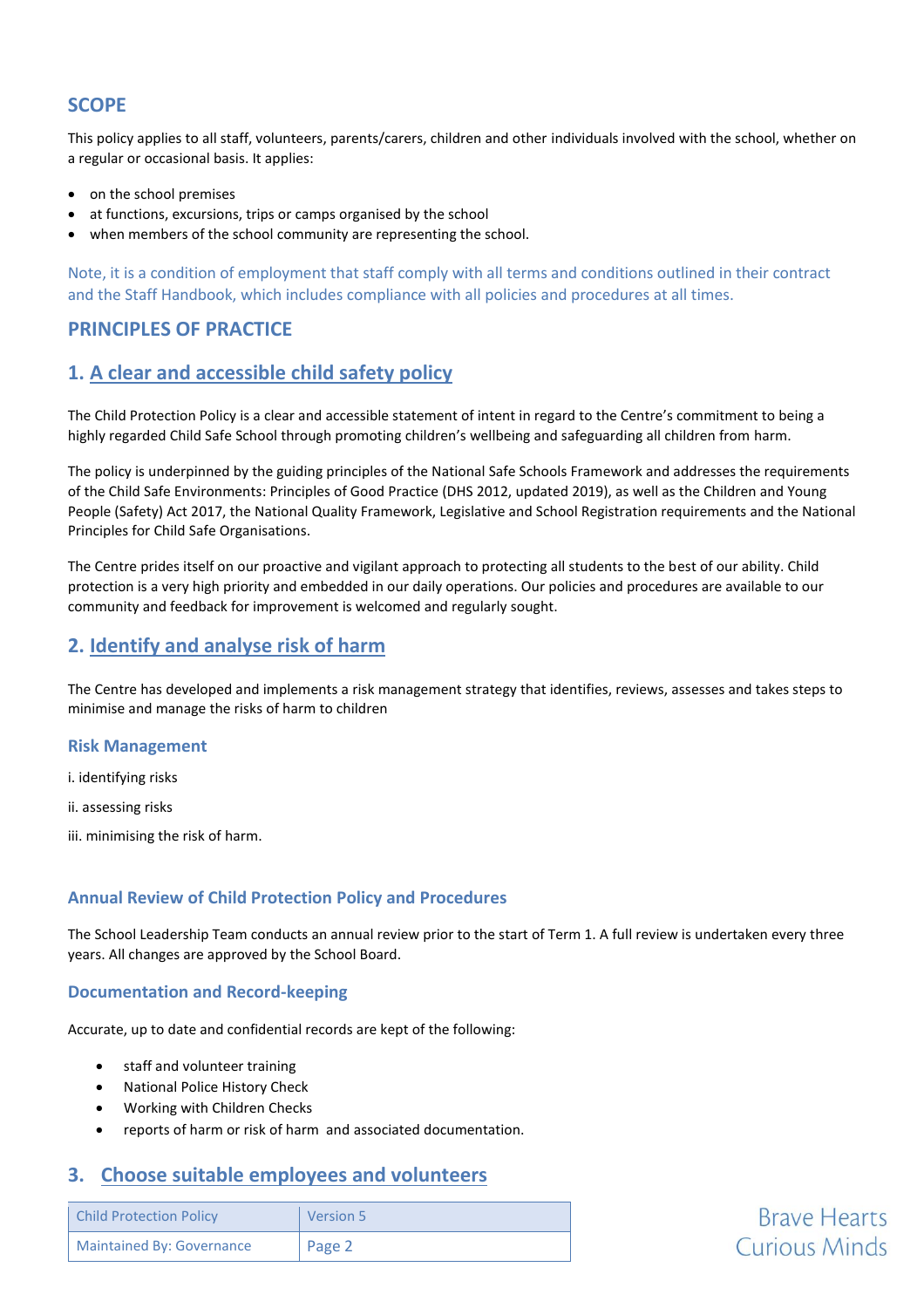## **SCOPE**

This policy applies to all staff, volunteers, parents/carers, children and other individuals involved with the school, whether on a regular or occasional basis. It applies:

- on the school premises
- at functions, excursions, trips or camps organised by the school
- when members of the school community are representing the school.

Note, it is a condition of employment that staff comply with all terms and conditions outlined in their contract and the Staff Handbook, which includes compliance with all policies and procedures at all times.

## **PRINCIPLES OF PRACTICE**

## **1. A clear and accessible child safety policy**

The Child Protection Policy is a clear and accessible statement of intent in regard to the Centre's commitment to being a highly regarded Child Safe School through promoting children's wellbeing and safeguarding all children from harm.

The policy is underpinned by the guiding principles of the National Safe Schools Framework and addresses the requirements of the Child Safe Environments: Principles of Good Practice (DHS 2012, updated 2019), as well as the Children and Young People (Safety) Act 2017, the National Quality Framework, Legislative and School Registration requirements and the National Principles for Child Safe Organisations.

The Centre prides itself on our proactive and vigilant approach to protecting all students to the best of our ability. Child protection is a very high priority and embedded in our daily operations. Our policies and procedures are available to our community and feedback for improvement is welcomed and regularly sought.

## **2. Identify and analyse risk of harm**

The Centre has developed and implements a risk management strategy that identifies, reviews, assesses and takes steps to minimise and manage the risks of harm to children

#### **Risk Management**

i. identifying risks

ii. assessing risks

iii. minimising the risk of harm.

#### **Annual Review of Child Protection Policy and Procedures**

The School Leadership Team conducts an annual review prior to the start of Term 1. A full review is undertaken every three years. All changes are approved by the School Board.

#### **Documentation and Record-keeping**

Accurate, up to date and confidential records are kept of the following:

- staff and volunteer training
- National Police History Check
- Working with Children Checks
- reports of harm or risk of harm and associated documentation.

### **3. Choose suitable employees and volunteers**

| <b>Child Protection Policy</b> | Version 5 |
|--------------------------------|-----------|
| Maintained By: Governance      | Page 2    |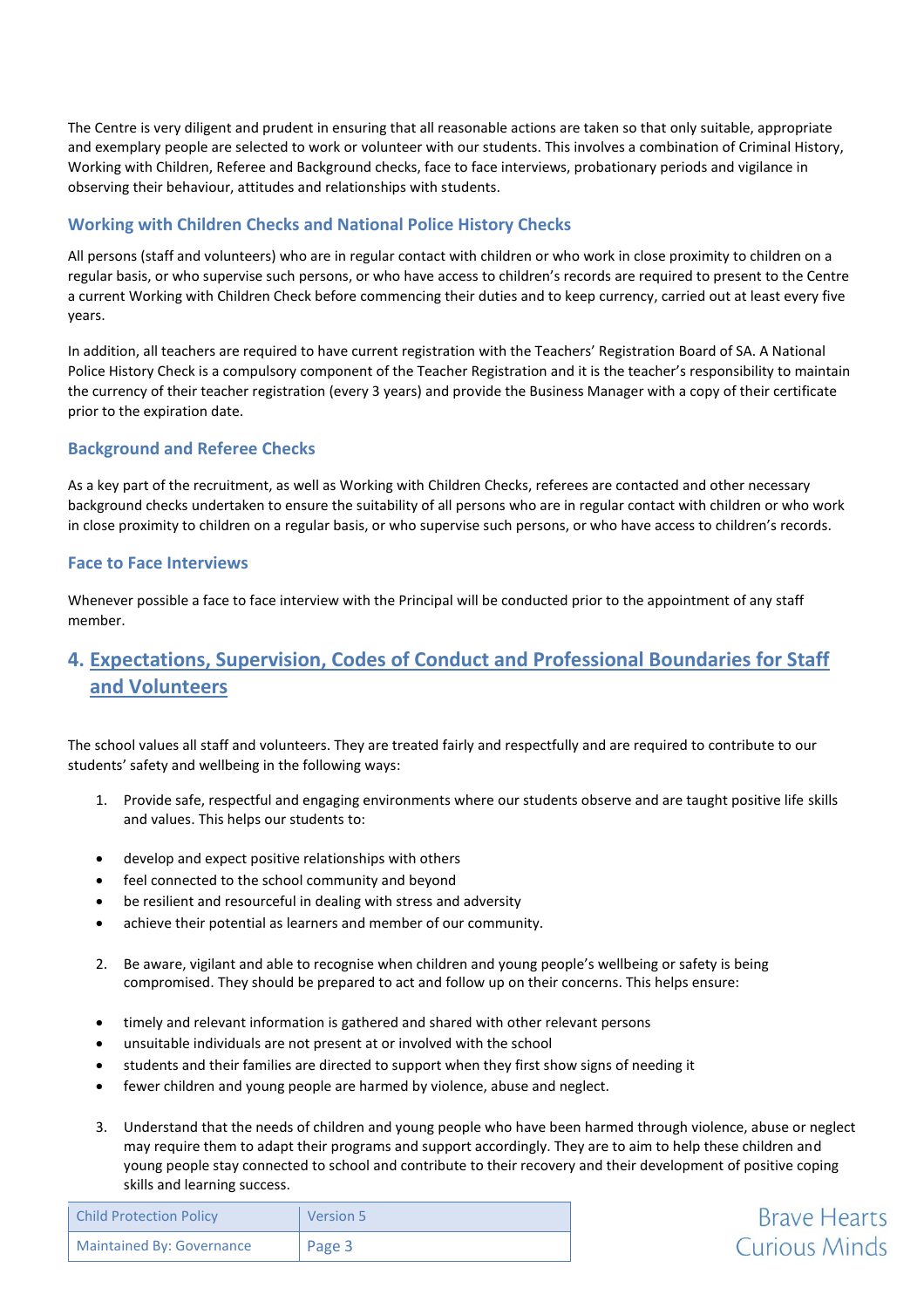The Centre is very diligent and prudent in ensuring that all reasonable actions are taken so that only suitable, appropriate and exemplary people are selected to work or volunteer with our students. This involves a combination of Criminal History, Working with Children, Referee and Background checks, face to face interviews, probationary periods and vigilance in observing their behaviour, attitudes and relationships with students.

#### **Working with Children Checks and National Police History Checks**

All persons (staff and volunteers) who are in regular contact with children or who work in close proximity to children on a regular basis, or who supervise such persons, or who have access to children's records are required to present to the Centre a current Working with Children Check before commencing their duties and to keep currency, carried out at least every five years.

In addition, all teachers are required to have current registration with the Teachers' Registration Board of SA. A National Police History Check is a compulsory component of the Teacher Registration and it is the teacher's responsibility to maintain the currency of their teacher registration (every 3 years) and provide the Business Manager with a copy of their certificate prior to the expiration date.

#### **Background and Referee Checks**

As a key part of the recruitment, as well as Working with Children Checks, referees are contacted and other necessary background checks undertaken to ensure the suitability of all persons who are in regular contact with children or who work in close proximity to children on a regular basis, or who supervise such persons, or who have access to children's records.

#### **Face to Face Interviews**

Whenever possible a face to face interview with the Principal will be conducted prior to the appointment of any staff member.

## **4. Expectations, Supervision, Codes of Conduct and Professional Boundaries for Staff and Volunteers**

The school values all staff and volunteers. They are treated fairly and respectfully and are required to contribute to our students' safety and wellbeing in the following ways:

- 1. Provide safe, respectful and engaging environments where our students observe and are taught positive life skills and values. This helps our students to:
- develop and expect positive relationships with others
- feel connected to the school community and beyond
- be resilient and resourceful in dealing with stress and adversity
- achieve their potential as learners and member of our community.
- 2. Be aware, vigilant and able to recognise when children and young people's wellbeing or safety is being compromised. They should be prepared to act and follow up on their concerns. This helps ensure:
- timely and relevant information is gathered and shared with other relevant persons
- unsuitable individuals are not present at or involved with the school
- students and their families are directed to support when they first show signs of needing it
- fewer children and young people are harmed by violence, abuse and neglect.
- 3. Understand that the needs of children and young people who have been harmed through violence, abuse or neglect may require them to adapt their programs and support accordingly. They are to aim to help these children and young people stay connected to school and contribute to their recovery and their development of positive coping skills and learning success.

**Brave Hearts** 

**Curious Minds** 

| <b>Child Protection Policy</b> | Version 5 |
|--------------------------------|-----------|
| Maintained By: Governance      | Page 3    |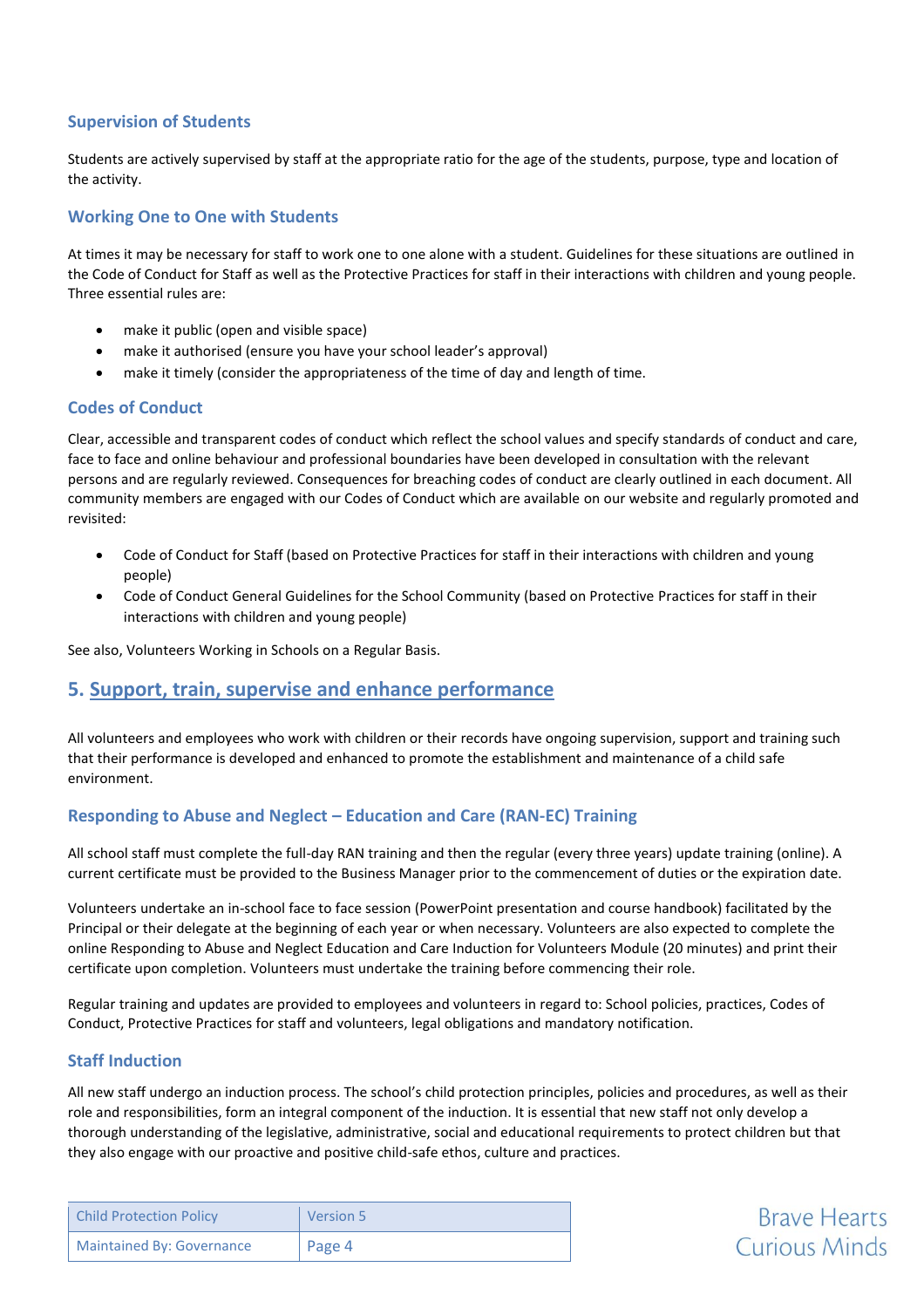#### **Supervision of Students**

Students are actively supervised by staff at the appropriate ratio for the age of the students, purpose, type and location of the activity.

#### **Working One to One with Students**

At times it may be necessary for staff to work one to one alone with a student. Guidelines for these situations are outlined in the Code of Conduct for Staff as well as the Protective Practices for staff in their interactions with children and young people. Three essential rules are:

- make it public (open and visible space)
- make it authorised (ensure you have your school leader's approval)
- make it timely (consider the appropriateness of the time of day and length of time.

#### **Codes of Conduct**

Clear, accessible and transparent codes of conduct which reflect the school values and specify standards of conduct and care, face to face and online behaviour and professional boundaries have been developed in consultation with the relevant persons and are regularly reviewed. Consequences for breaching codes of conduct are clearly outlined in each document. All community members are engaged with our Codes of Conduct which are available on our website and regularly promoted and revisited:

- Code of Conduct for Staff (based on Protective Practices for staff in their interactions with children and young people)
- Code of Conduct General Guidelines for the School Community (based on Protective Practices for staff in their interactions with children and young people)

See also, Volunteers Working in Schools on a Regular Basis.

### **5. Support, train, supervise and enhance performance**

All volunteers and employees who work with children or their records have ongoing supervision, support and training such that their performance is developed and enhanced to promote the establishment and maintenance of a child safe environment.

#### **Responding to Abuse and Neglect – Education and Care (RAN-EC) Training**

All school staff must complete the full-day RAN training and then the regular (every three years) update training (online). A current certificate must be provided to the Business Manager prior to the commencement of duties or the expiration date.

Volunteers undertake an in-school face to face session (PowerPoint presentation and course handbook) facilitated by the Principal or their delegate at the beginning of each year or when necessary. Volunteers are also expected to complete the online Responding to Abuse and Neglect Education and Care Induction for Volunteers Module (20 minutes) and print their certificate upon completion. Volunteers must undertake the training before commencing their role.

Regular training and updates are provided to employees and volunteers in regard to: School policies, practices, Codes of Conduct, Protective Practices for staff and volunteers, legal obligations and mandatory notification.

#### **Staff Induction**

All new staff undergo an induction process. The school's child protection principles, policies and procedures, as well as their role and responsibilities, form an integral component of the induction. It is essential that new staff not only develop a thorough understanding of the legislative, administrative, social and educational requirements to protect children but that they also engage with our proactive and positive child-safe ethos, culture and practices.

| <b>Child Protection Policy</b>   | <b>Version 5</b> |
|----------------------------------|------------------|
| <b>Maintained By: Governance</b> | l Page 4         |

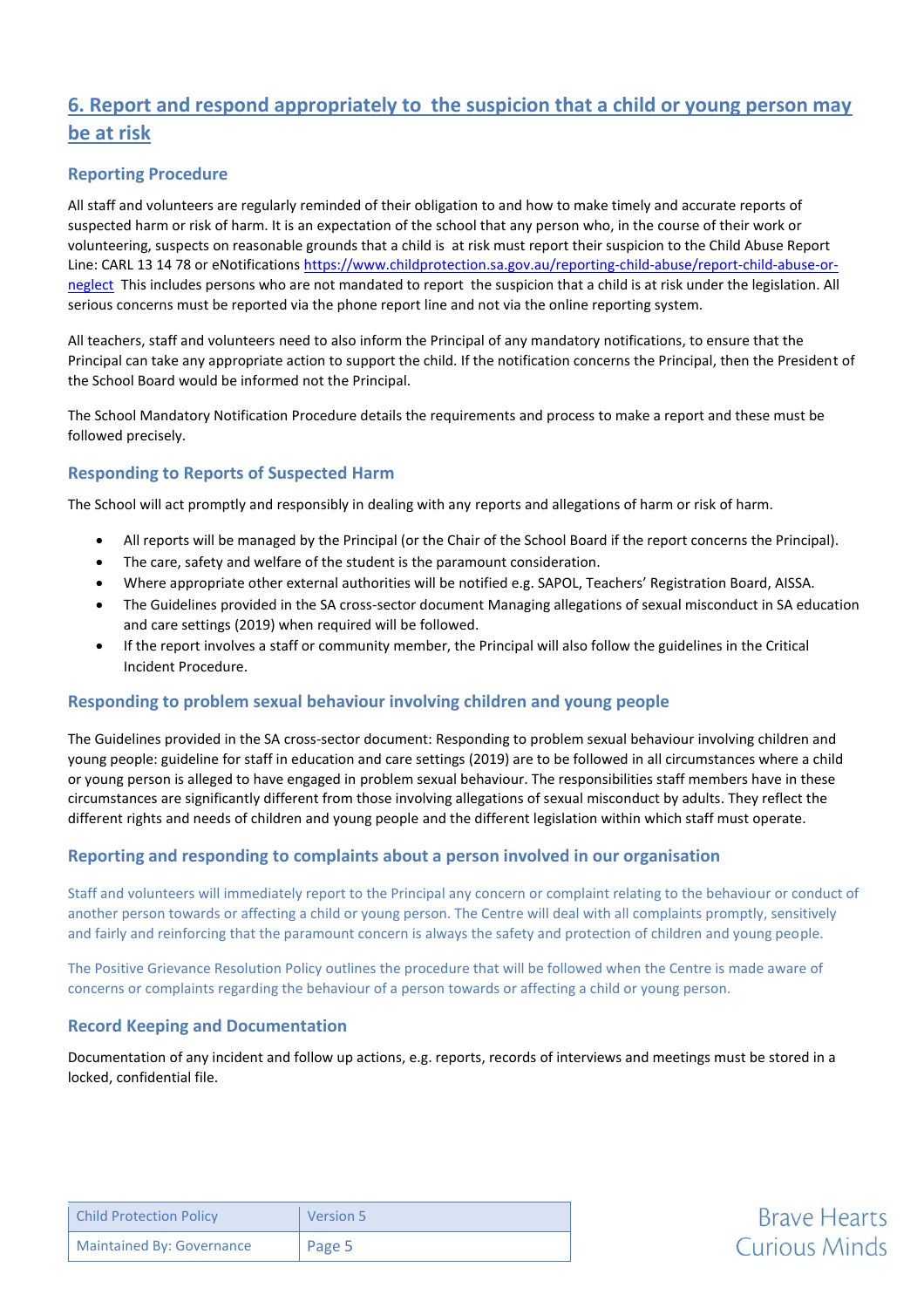## **6. Report and respond appropriately to the suspicion that a child or young person may be at risk**

#### **Reporting Procedure**

All staff and volunteers are regularly reminded of their obligation to and how to make timely and accurate reports of suspected harm or risk of harm. It is an expectation of the school that any person who, in the course of their work or volunteering, suspects on reasonable grounds that a child is at risk must report their suspicion to the Child Abuse Report Line: CARL 13 14 78 or eNotification[s https://www.childprotection.sa.gov.au/reporting-child-abuse/report-child-abuse-or](https://www.childprotection.sa.gov.au/reporting-child-abuse/report-child-abuse-or-neglect)[neglect](https://www.childprotection.sa.gov.au/reporting-child-abuse/report-child-abuse-or-neglect) This includes persons who are not mandated to report the suspicion that a child is at risk under the legislation. All serious concerns must be reported via the phone report line and not via the online reporting system.

All teachers, staff and volunteers need to also inform the Principal of any mandatory notifications, to ensure that the Principal can take any appropriate action to support the child. If the notification concerns the Principal, then the President of the School Board would be informed not the Principal.

The School Mandatory Notification Procedure details the requirements and process to make a report and these must be followed precisely.

#### **Responding to Reports of Suspected Harm**

The School will act promptly and responsibly in dealing with any reports and allegations of harm or risk of harm.

- All reports will be managed by the Principal (or the Chair of the School Board if the report concerns the Principal).
- The care, safety and welfare of the student is the paramount consideration.
- Where appropriate other external authorities will be notified e.g. SAPOL, Teachers' Registration Board, AISSA.
- The Guidelines provided in the SA cross-sector document Managing allegations of sexual misconduct in SA education and care settings (2019) when required will be followed.
- If the report involves a staff or community member, the Principal will also follow the guidelines in the Critical Incident Procedure.

#### **Responding to problem sexual behaviour involving children and young people**

The Guidelines provided in the SA cross-sector document: Responding to problem sexual behaviour involving children and young people: guideline for staff in education and care settings (2019) are to be followed in all circumstances where a child or young person is alleged to have engaged in problem sexual behaviour. The responsibilities staff members have in these circumstances are significantly different from those involving allegations of sexual misconduct by adults. They reflect the different rights and needs of children and young people and the different legislation within which staff must operate.

#### **Reporting and responding to complaints about a person involved in our organisation**

Staff and volunteers will immediately report to the Principal any concern or complaint relating to the behaviour or conduct of another person towards or affecting a child or young person. The Centre will deal with all complaints promptly, sensitively and fairly and reinforcing that the paramount concern is always the safety and protection of children and young people.

The Positive Grievance Resolution Policy outlines the procedure that will be followed when the Centre is made aware of concerns or complaints regarding the behaviour of a person towards or affecting a child or young person.

#### **Record Keeping and Documentation**

Documentation of any incident and follow up actions, e.g. reports, records of interviews and meetings must be stored in a locked, confidential file.

| <b>Child Protection Policy</b> | Version 5 |
|--------------------------------|-----------|
| Maintained By: Governance      | Page 5    |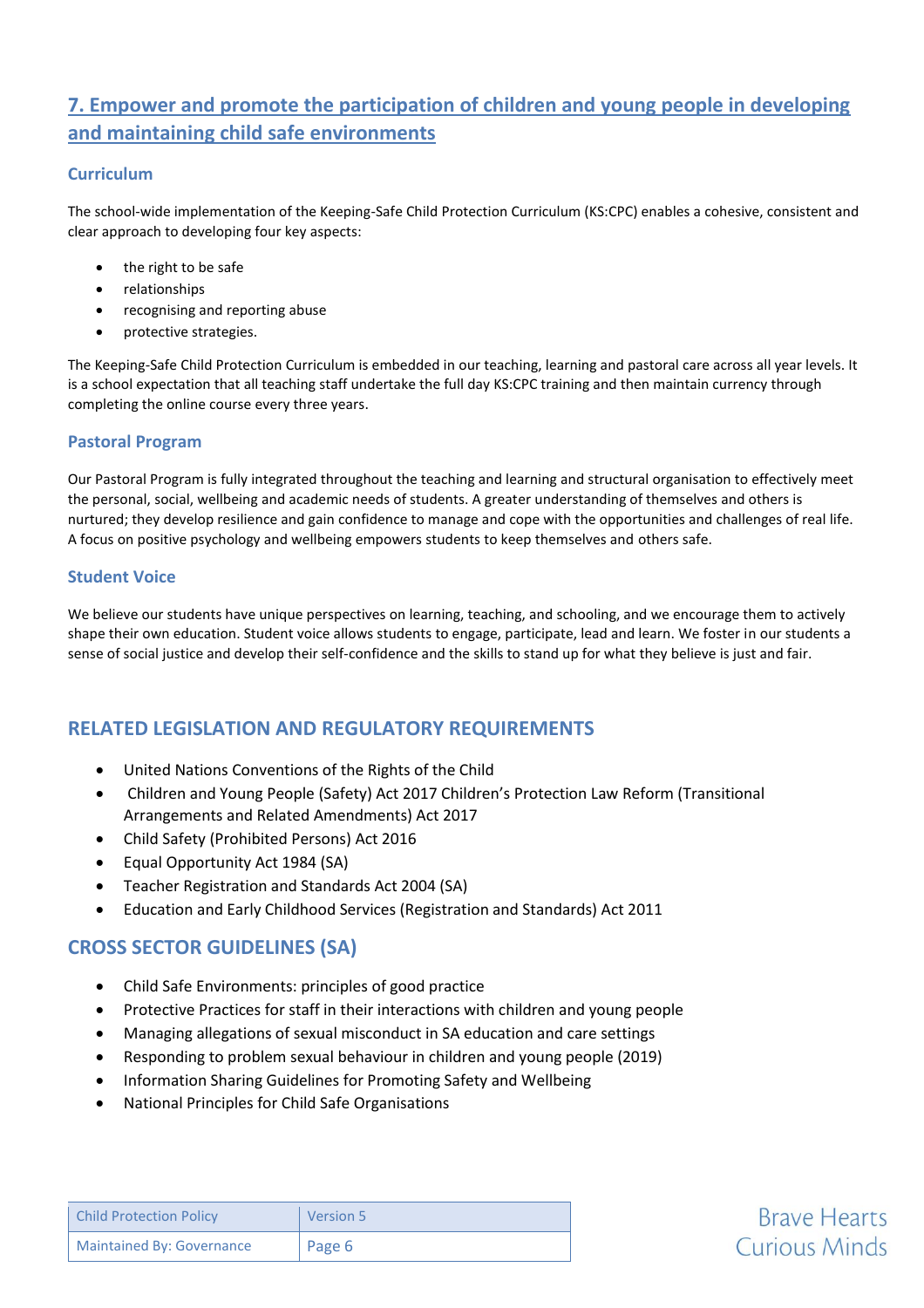## **7. Empower and promote the participation of children and young people in developing and maintaining child safe environments**

#### **Curriculum**

The school-wide implementation of the Keeping-Safe Child Protection Curriculum (KS:CPC) enables a cohesive, consistent and clear approach to developing four key aspects:

- the right to be safe
- relationships
- recognising and reporting abuse
- protective strategies.

The Keeping-Safe Child Protection Curriculum is embedded in our teaching, learning and pastoral care across all year levels. It is a school expectation that all teaching staff undertake the full day KS:CPC training and then maintain currency through completing the online course every three years.

#### **Pastoral Program**

Our Pastoral Program is fully integrated throughout the teaching and learning and structural organisation to effectively meet the personal, social, wellbeing and academic needs of students. A greater understanding of themselves and others is nurtured; they develop resilience and gain confidence to manage and cope with the opportunities and challenges of real life. A focus on positive psychology and wellbeing empowers students to keep themselves and others safe.

#### **Student Voice**

We believe our students have unique perspectives on learning, teaching, and schooling, and we encourage them to actively shape their own education. Student voice allows students to engage, participate, lead and learn. We foster in our students a sense of social justice and develop their self-confidence and the skills to stand up for what they believe is just and fair.

## **RELATED LEGISLATION AND REGULATORY REQUIREMENTS**

- United Nations Conventions of the Rights of the Child
- Children and Young People (Safety) Act 2017 Children's Protection Law Reform (Transitional Arrangements and Related Amendments) Act 2017
- Child Safety (Prohibited Persons) Act 2016
- Equal Opportunity Act 1984 (SA)
- Teacher Registration and Standards Act 2004 (SA)
- Education and Early Childhood Services (Registration and Standards) Act 2011

## **CROSS SECTOR GUIDELINES (SA)**

- Child Safe Environments: principles of good practice
- Protective Practices for staff in their interactions with children and young people
- Managing allegations of sexual misconduct in SA education and care settings
- Responding to problem sexual behaviour in children and young people (2019)
- Information Sharing Guidelines for Promoting Safety and Wellbeing
- National Principles for Child Safe Organisations

| <b>Child Protection Policy</b>   | Version 5 |
|----------------------------------|-----------|
| <b>Maintained By: Governance</b> | Page 6    |